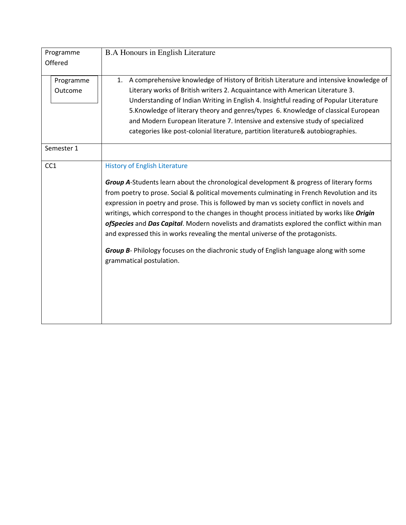| Programme<br>Offered | <b>B.A Honours in English Literature</b>                                                                                                                                                                                                                                                                                                                                                                                                                                                                                                                                                                                                                                                                                                     |
|----------------------|----------------------------------------------------------------------------------------------------------------------------------------------------------------------------------------------------------------------------------------------------------------------------------------------------------------------------------------------------------------------------------------------------------------------------------------------------------------------------------------------------------------------------------------------------------------------------------------------------------------------------------------------------------------------------------------------------------------------------------------------|
| Programme<br>Outcome | A comprehensive knowledge of History of British Literature and intensive knowledge of<br>1.<br>Literary works of British writers 2. Acquaintance with American Literature 3.<br>Understanding of Indian Writing in English 4. Insightful reading of Popular Literature<br>5. Knowledge of literary theory and genres/types 6. Knowledge of classical European<br>and Modern European literature 7. Intensive and extensive study of specialized<br>categories like post-colonial literature, partition literature& autobiographies.                                                                                                                                                                                                          |
| Semester 1           |                                                                                                                                                                                                                                                                                                                                                                                                                                                                                                                                                                                                                                                                                                                                              |
| CC <sub>1</sub>      | <b>History of English Literature</b><br><b>Group A-Students learn about the chronological development &amp; progress of literary forms</b><br>from poetry to prose. Social & political movements culminating in French Revolution and its<br>expression in poetry and prose. This is followed by man vs society conflict in novels and<br>writings, which correspond to the changes in thought process initiated by works like Origin<br>ofSpecies and Das Capital. Modern novelists and dramatists explored the conflict within man<br>and expressed this in works revealing the mental universe of the protagonists.<br>Group B- Philology focuses on the diachronic study of English language along with some<br>grammatical postulation. |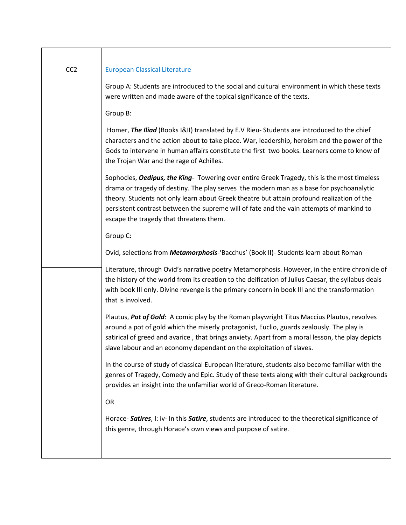| CC <sub>2</sub> | <b>European Classical Literature</b>                                                                                                                                                                                                                                                                                                                                                                                         |
|-----------------|------------------------------------------------------------------------------------------------------------------------------------------------------------------------------------------------------------------------------------------------------------------------------------------------------------------------------------------------------------------------------------------------------------------------------|
|                 | Group A: Students are introduced to the social and cultural environment in which these texts<br>were written and made aware of the topical significance of the texts.                                                                                                                                                                                                                                                        |
|                 | Group B:                                                                                                                                                                                                                                                                                                                                                                                                                     |
|                 | Homer, The Iliad (Books I&II) translated by E.V Rieu-Students are introduced to the chief<br>characters and the action about to take place. War, leadership, heroism and the power of the<br>Gods to intervene in human affairs constitute the first two books. Learners come to know of<br>the Trojan War and the rage of Achilles.                                                                                         |
|                 | Sophocles, Oedipus, the King- Towering over entire Greek Tragedy, this is the most timeless<br>drama or tragedy of destiny. The play serves the modern man as a base for psychoanalytic<br>theory. Students not only learn about Greek theatre but attain profound realization of the<br>persistent contrast between the supreme will of fate and the vain attempts of mankind to<br>escape the tragedy that threatens them. |
|                 | Group C:                                                                                                                                                                                                                                                                                                                                                                                                                     |
|                 | Ovid, selections from Metamorphosis-'Bacchus' (Book II)- Students learn about Roman                                                                                                                                                                                                                                                                                                                                          |
|                 | Literature, through Ovid's narrative poetry Metamorphosis. However, in the entire chronicle of<br>the history of the world from its creation to the deification of Julius Caesar, the syllabus deals<br>with book III only. Divine revenge is the primary concern in book III and the transformation<br>that is involved.                                                                                                    |
|                 | Plautus, Pot of Gold: A comic play by the Roman playwright Titus Maccius Plautus, revolves<br>around a pot of gold which the miserly protagonist, Euclio, guards zealously. The play is<br>satirical of greed and avarice, that brings anxiety. Apart from a moral lesson, the play depicts<br>slave labour and an economy dependant on the exploitation of slaves.                                                          |
|                 | In the course of study of classical European literature, students also become familiar with the<br>genres of Tragedy, Comedy and Epic. Study of these texts along with their cultural backgrounds<br>provides an insight into the unfamiliar world of Greco-Roman literature.                                                                                                                                                |
|                 | OR                                                                                                                                                                                                                                                                                                                                                                                                                           |
|                 | Horace- Satires, I: iv- In this Satire, students are introduced to the theoretical significance of<br>this genre, through Horace's own views and purpose of satire.                                                                                                                                                                                                                                                          |
|                 |                                                                                                                                                                                                                                                                                                                                                                                                                              |

 $\overline{\phantom{a}}$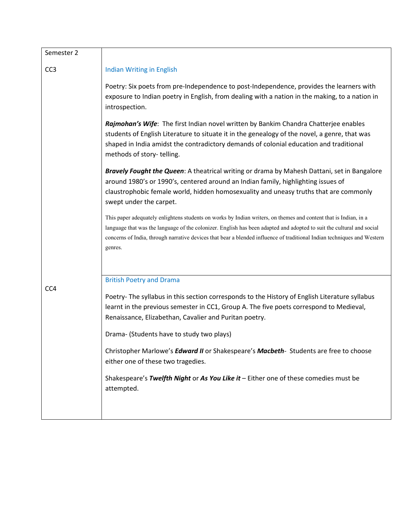| Semester 2      |                                                                                                                                                                                                                                                                                                                                                                                 |
|-----------------|---------------------------------------------------------------------------------------------------------------------------------------------------------------------------------------------------------------------------------------------------------------------------------------------------------------------------------------------------------------------------------|
| CC <sub>3</sub> | <b>Indian Writing in English</b>                                                                                                                                                                                                                                                                                                                                                |
|                 | Poetry: Six poets from pre-Independence to post-Independence, provides the learners with<br>exposure to Indian poetry in English, from dealing with a nation in the making, to a nation in<br>introspection.                                                                                                                                                                    |
|                 | Rajmohan's Wife: The first Indian novel written by Bankim Chandra Chatterjee enables<br>students of English Literature to situate it in the genealogy of the novel, a genre, that was<br>shaped in India amidst the contradictory demands of colonial education and traditional<br>methods of story-telling.                                                                    |
|                 | <b>Bravely Fought the Queen:</b> A theatrical writing or drama by Mahesh Dattani, set in Bangalore<br>around 1980's or 1990's, centered around an Indian family, highlighting issues of<br>claustrophobic female world, hidden homosexuality and uneasy truths that are commonly<br>swept under the carpet.                                                                     |
|                 | This paper adequately enlightens students on works by Indian writers, on themes and content that is Indian, in a<br>language that was the language of the colonizer. English has been adapted and adopted to suit the cultural and social<br>concerns of India, through narrative devices that bear a blended influence of traditional Indian techniques and Western<br>genres. |
|                 | <b>British Poetry and Drama</b>                                                                                                                                                                                                                                                                                                                                                 |
| CC4             | Poetry- The syllabus in this section corresponds to the History of English Literature syllabus<br>learnt in the previous semester in CC1, Group A. The five poets correspond to Medieval,<br>Renaissance, Elizabethan, Cavalier and Puritan poetry.<br>Drama- (Students have to study two plays)                                                                                |
|                 |                                                                                                                                                                                                                                                                                                                                                                                 |
|                 | Christopher Marlowe's <i>Edward II</i> or Shakespeare's <i>Macbeth</i> -Students are free to choose<br>either one of these two tragedies.                                                                                                                                                                                                                                       |
|                 | Shakespeare's Twelfth Night or As You Like it - Either one of these comedies must be<br>attempted.                                                                                                                                                                                                                                                                              |
|                 |                                                                                                                                                                                                                                                                                                                                                                                 |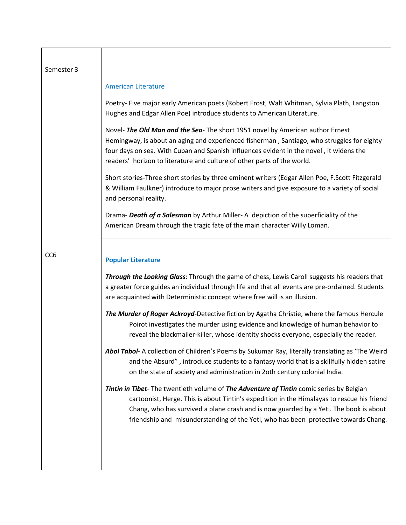| Semester 3      |                                                                                                                                                                                                                                                                                                                                                                        |
|-----------------|------------------------------------------------------------------------------------------------------------------------------------------------------------------------------------------------------------------------------------------------------------------------------------------------------------------------------------------------------------------------|
|                 | <b>American Literature</b>                                                                                                                                                                                                                                                                                                                                             |
|                 | Poetry- Five major early American poets (Robert Frost, Walt Whitman, Sylvia Plath, Langston<br>Hughes and Edgar Allen Poe) introduce students to American Literature.                                                                                                                                                                                                  |
|                 | Novel- The Old Man and the Sea- The short 1951 novel by American author Ernest<br>Hemingway, is about an aging and experienced fisherman, Santiago, who struggles for eighty<br>four days on sea. With Cuban and Spanish influences evident in the novel, it widens the<br>readers' horizon to literature and culture of other parts of the world.                     |
|                 | Short stories-Three short stories by three eminent writers (Edgar Allen Poe, F.Scott Fitzgerald<br>& William Faulkner) introduce to major prose writers and give exposure to a variety of social<br>and personal reality.                                                                                                                                              |
|                 | Drama- Death of a Salesman by Arthur Miller-A depiction of the superficiality of the<br>American Dream through the tragic fate of the main character Willy Loman.                                                                                                                                                                                                      |
| CC <sub>6</sub> | <b>Popular Literature</b>                                                                                                                                                                                                                                                                                                                                              |
|                 | Through the Looking Glass: Through the game of chess, Lewis Caroll suggests his readers that<br>a greater force guides an individual through life and that all events are pre-ordained. Students<br>are acquainted with Deterministic concept where free will is an illusion.                                                                                          |
|                 | The Murder of Roger Ackroyd-Detective fiction by Agatha Christie, where the famous Hercule<br>Poirot investigates the murder using evidence and knowledge of human behavior to<br>reveal the blackmailer-killer, whose identity shocks everyone, especially the reader.                                                                                                |
|                 | Abol Tabol- A collection of Children's Poems by Sukumar Ray, literally translating as 'The Weird<br>and the Absurd", introduce students to a fantasy world that is a skillfully hidden satire<br>on the state of society and administration in 2oth century colonial India.                                                                                            |
|                 | Tintin in Tibet- The twentieth volume of The Adventure of Tintin comic series by Belgian<br>cartoonist, Herge. This is about Tintin's expedition in the Himalayas to rescue his friend<br>Chang, who has survived a plane crash and is now guarded by a Yeti. The book is about<br>friendship and misunderstanding of the Yeti, who has been protective towards Chang. |
|                 |                                                                                                                                                                                                                                                                                                                                                                        |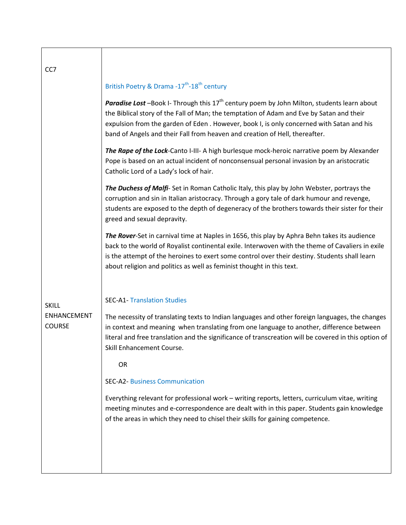| CC7                                                 |                                                                                                                                                                                                                                                                                                                                                                                |
|-----------------------------------------------------|--------------------------------------------------------------------------------------------------------------------------------------------------------------------------------------------------------------------------------------------------------------------------------------------------------------------------------------------------------------------------------|
|                                                     | British Poetry & Drama -17 <sup>th</sup> -18 <sup>th</sup> century                                                                                                                                                                                                                                                                                                             |
|                                                     | Paradise Lost -Book I- Through this 17 <sup>th</sup> century poem by John Milton, students learn about<br>the Biblical story of the Fall of Man; the temptation of Adam and Eve by Satan and their<br>expulsion from the garden of Eden . However, book I, is only concerned with Satan and his<br>band of Angels and their Fall from heaven and creation of Hell, thereafter. |
|                                                     | The Rape of the Lock-Canto I-III- A high burlesque mock-heroic narrative poem by Alexander<br>Pope is based on an actual incident of nonconsensual personal invasion by an aristocratic<br>Catholic Lord of a Lady's lock of hair.                                                                                                                                             |
|                                                     | The Duchess of Malfi-Set in Roman Catholic Italy, this play by John Webster, portrays the<br>corruption and sin in Italian aristocracy. Through a gory tale of dark humour and revenge,<br>students are exposed to the depth of degeneracy of the brothers towards their sister for their<br>greed and sexual depravity.                                                       |
|                                                     | The Rover-Set in carnival time at Naples in 1656, this play by Aphra Behn takes its audience<br>back to the world of Royalist continental exile. Interwoven with the theme of Cavaliers in exile<br>is the attempt of the heroines to exert some control over their destiny. Students shall learn<br>about religion and politics as well as feminist thought in this text.     |
| <b>SKILL</b><br><b>ENHANCEMENT</b><br><b>COURSE</b> | <b>SEC-A1- Translation Studies</b>                                                                                                                                                                                                                                                                                                                                             |
|                                                     | The necessity of translating texts to Indian languages and other foreign languages, the changes<br>in context and meaning when translating from one language to another, difference between<br>literal and free translation and the significance of transcreation will be covered in this option of<br>Skill Enhancement Course.                                               |
|                                                     | OR                                                                                                                                                                                                                                                                                                                                                                             |
|                                                     | <b>SEC-A2- Business Communication</b>                                                                                                                                                                                                                                                                                                                                          |
|                                                     | Everything relevant for professional work - writing reports, letters, curriculum vitae, writing<br>meeting minutes and e-correspondence are dealt with in this paper. Students gain knowledge<br>of the areas in which they need to chisel their skills for gaining competence.                                                                                                |
|                                                     |                                                                                                                                                                                                                                                                                                                                                                                |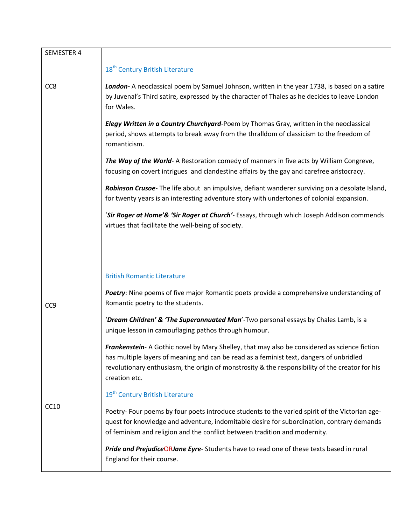| SEMESTER 4      |                                                                                                                                                                                                                                                                                                            |
|-----------------|------------------------------------------------------------------------------------------------------------------------------------------------------------------------------------------------------------------------------------------------------------------------------------------------------------|
|                 | 18 <sup>th</sup> Century British Literature                                                                                                                                                                                                                                                                |
| CC <sub>8</sub> | London-A neoclassical poem by Samuel Johnson, written in the year 1738, is based on a satire<br>by Juvenal's Third satire, expressed by the character of Thales as he decides to leave London<br>for Wales.                                                                                                |
|                 | Elegy Written in a Country Churchyard-Poem by Thomas Gray, written in the neoclassical<br>period, shows attempts to break away from the thralldom of classicism to the freedom of<br>romanticism.                                                                                                          |
|                 | The Way of the World-A Restoration comedy of manners in five acts by William Congreve,<br>focusing on covert intrigues and clandestine affairs by the gay and carefree aristocracy.                                                                                                                        |
|                 | Robinson Crusoe-The life about an impulsive, defiant wanderer surviving on a desolate Island,<br>for twenty years is an interesting adventure story with undertones of colonial expansion.                                                                                                                 |
|                 | 'Sir Roger at Home'& 'Sir Roger at Church'- Essays, through which Joseph Addison commends<br>virtues that facilitate the well-being of society.                                                                                                                                                            |
|                 |                                                                                                                                                                                                                                                                                                            |
|                 | <b>British Romantic Literature</b>                                                                                                                                                                                                                                                                         |
| CC <sub>9</sub> | Poetry: Nine poems of five major Romantic poets provide a comprehensive understanding of<br>Romantic poetry to the students.                                                                                                                                                                               |
|                 | 'Dream Children' & 'The Superannuated Man'-Two personal essays by Chales Lamb, is a<br>unique lesson in camouflaging pathos through humour.                                                                                                                                                                |
| <b>CC10</b>     | Frankenstein-A Gothic novel by Mary Shelley, that may also be considered as science fiction<br>has multiple layers of meaning and can be read as a feminist text, dangers of unbridled<br>revolutionary enthusiasm, the origin of monstrosity & the responsibility of the creator for his<br>creation etc. |
|                 | 19 <sup>th</sup> Century British Literature                                                                                                                                                                                                                                                                |
|                 | Poetry- Four poems by four poets introduce students to the varied spirit of the Victorian age-<br>quest for knowledge and adventure, indomitable desire for subordination, contrary demands<br>of feminism and religion and the conflict between tradition and modernity.                                  |
|                 | Pride and PrejudiceORJane Eyre- Students have to read one of these texts based in rural<br>England for their course.                                                                                                                                                                                       |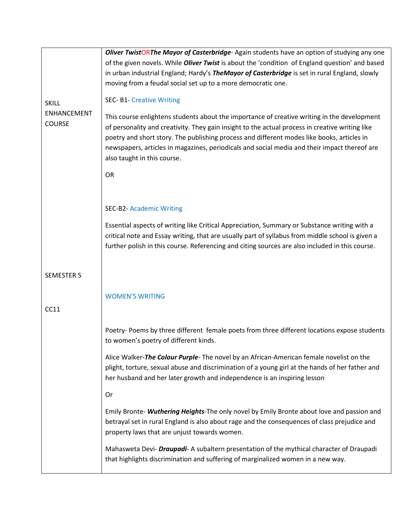|                                     | Oliver TwistORThe Mayor of Casterbridge-Again students have an option of studying any one                                                                                                                                                                                                                                                                                                                                   |  |  |
|-------------------------------------|-----------------------------------------------------------------------------------------------------------------------------------------------------------------------------------------------------------------------------------------------------------------------------------------------------------------------------------------------------------------------------------------------------------------------------|--|--|
|                                     | of the given novels. While <i>Oliver Twist</i> is about the 'condition of England question' and based                                                                                                                                                                                                                                                                                                                       |  |  |
|                                     | in urban industrial England; Hardy's TheMayor of Casterbridge is set in rural England, slowly                                                                                                                                                                                                                                                                                                                               |  |  |
|                                     | moving from a feudal social set up to a more democratic one.                                                                                                                                                                                                                                                                                                                                                                |  |  |
| <b>SKILL</b>                        | <b>SEC- B1- Creative Writing</b>                                                                                                                                                                                                                                                                                                                                                                                            |  |  |
| <b>ENHANCEMENT</b><br><b>COURSE</b> | This course enlightens students about the importance of creative writing in the development<br>of personality and creativity. They gain insight to the actual process in creative writing like<br>poetry and short story. The publishing process and different modes like books, articles in<br>newspapers, articles in magazines, periodicals and social media and their impact thereof are<br>also taught in this course. |  |  |
|                                     | OR                                                                                                                                                                                                                                                                                                                                                                                                                          |  |  |
|                                     |                                                                                                                                                                                                                                                                                                                                                                                                                             |  |  |
|                                     |                                                                                                                                                                                                                                                                                                                                                                                                                             |  |  |
|                                     | <b>SEC-B2- Academic Writing</b>                                                                                                                                                                                                                                                                                                                                                                                             |  |  |
|                                     | Essential aspects of writing like Critical Appreciation, Summary or Substance writing with a                                                                                                                                                                                                                                                                                                                                |  |  |
|                                     | critical note and Essay writing, that are usually part of syllabus from middle school is given a                                                                                                                                                                                                                                                                                                                            |  |  |
|                                     | further polish in this course. Referencing and citing sources are also included in this course.                                                                                                                                                                                                                                                                                                                             |  |  |
|                                     |                                                                                                                                                                                                                                                                                                                                                                                                                             |  |  |
| <b>SEMESTER 5</b>                   |                                                                                                                                                                                                                                                                                                                                                                                                                             |  |  |
|                                     |                                                                                                                                                                                                                                                                                                                                                                                                                             |  |  |
|                                     | <b>WOMEN'S WRITING</b>                                                                                                                                                                                                                                                                                                                                                                                                      |  |  |
| CC11                                |                                                                                                                                                                                                                                                                                                                                                                                                                             |  |  |
|                                     |                                                                                                                                                                                                                                                                                                                                                                                                                             |  |  |
|                                     | Poetry- Poems by three different female poets from three different locations expose students<br>to women's poetry of different kinds.                                                                                                                                                                                                                                                                                       |  |  |
|                                     | Alice Walker-The Colour Purple- The novel by an African-American female novelist on the<br>plight, torture, sexual abuse and discrimination of a young girl at the hands of her father and<br>her husband and her later growth and independence is an inspiring lesson                                                                                                                                                      |  |  |
|                                     | Or                                                                                                                                                                                                                                                                                                                                                                                                                          |  |  |
|                                     | Emily Bronte- Wuthering Heights-The only novel by Emily Bronte about love and passion and<br>betrayal set in rural England is also about rage and the consequences of class prejudice and<br>property laws that are unjust towards women.                                                                                                                                                                                   |  |  |
|                                     | Mahasweta Devi- Draupadi- A subaltern presentation of the mythical character of Draupadi<br>that highlights discrimination and suffering of marginalized women in a new way.                                                                                                                                                                                                                                                |  |  |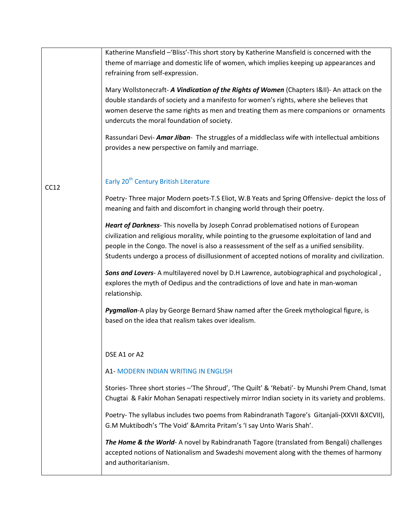|      | Katherine Mansfield -'Bliss'-This short story by Katherine Mansfield is concerned with the<br>theme of marriage and domestic life of women, which implies keeping up appearances and<br>refraining from self-expression.                                                                                                                                                             |
|------|--------------------------------------------------------------------------------------------------------------------------------------------------------------------------------------------------------------------------------------------------------------------------------------------------------------------------------------------------------------------------------------|
|      | Mary Wollstonecraft- A Vindication of the Rights of Women (Chapters I&II)- An attack on the<br>double standards of society and a manifesto for women's rights, where she believes that<br>women deserve the same rights as men and treating them as mere companions or ornaments<br>undercuts the moral foundation of society.                                                       |
|      | Rassundari Devi- Amar Jiban- The struggles of a middleclass wife with intellectual ambitions<br>provides a new perspective on family and marriage.                                                                                                                                                                                                                                   |
| CC12 | Early 20 <sup>th</sup> Century British Literature                                                                                                                                                                                                                                                                                                                                    |
|      | Poetry-Three major Modern poets-T.S Eliot, W.B Yeats and Spring Offensive- depict the loss of<br>meaning and faith and discomfort in changing world through their poetry.                                                                                                                                                                                                            |
|      | Heart of Darkness- This novella by Joseph Conrad problematised notions of European<br>civilization and religious morality, while pointing to the gruesome exploitation of land and<br>people in the Congo. The novel is also a reassessment of the self as a unified sensibility.<br>Students undergo a process of disillusionment of accepted notions of morality and civilization. |
|      | Sons and Lovers- A multilayered novel by D.H Lawrence, autobiographical and psychological,<br>explores the myth of Oedipus and the contradictions of love and hate in man-woman<br>relationship.                                                                                                                                                                                     |
|      | Pygmalion-A play by George Bernard Shaw named after the Greek mythological figure, is<br>based on the idea that realism takes over idealism.                                                                                                                                                                                                                                         |
|      | DSE A1 or A2                                                                                                                                                                                                                                                                                                                                                                         |
|      | A1- MODERN INDIAN WRITING IN ENGLISH                                                                                                                                                                                                                                                                                                                                                 |
|      | Stories-Three short stories - 'The Shroud', 'The Quilt' & 'Rebati'- by Munshi Prem Chand, Ismat<br>Chugtai & Fakir Mohan Senapati respectively mirror Indian society in its variety and problems.                                                                                                                                                                                    |
|      | Poetry- The syllabus includes two poems from Rabindranath Tagore's Gitanjali-(XXVII &XCVII),<br>G.M Muktibodh's 'The Void' & Amrita Pritam's 'I say Unto Waris Shah'.                                                                                                                                                                                                                |
|      | The Home & the World- A novel by Rabindranath Tagore (translated from Bengali) challenges<br>accepted notions of Nationalism and Swadeshi movement along with the themes of harmony<br>and authoritarianism.                                                                                                                                                                         |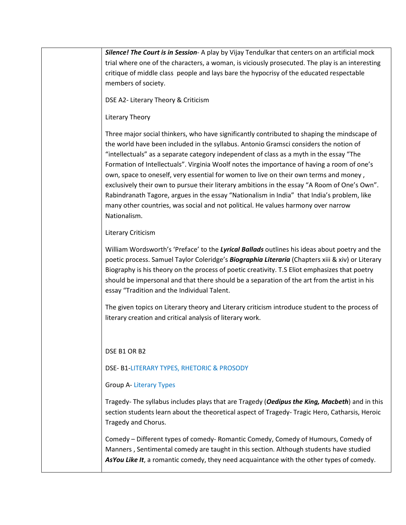*Silence! The Court is in Session*- A play by Vijay Tendulkar that centers on an artificial mock trial where one of the characters, a woman, is viciously prosecuted. The play is an interesting critique of middle class people and lays bare the hypocrisy of the educated respectable members of society.

DSE A2- Literary Theory & Criticism

# Literary Theory

Three major social thinkers, who have significantly contributed to shaping the mindscape of the world have been included in the syllabus. Antonio Gramsci considers the notion of "intellectuals" as a separate category independent of class as a myth in the essay "The Formation of Intellectuals". Virginia Woolf notes the importance of having a room of one's own, space to oneself, very essential for women to live on their own terms and money , exclusively their own to pursue their literary ambitions in the essay "A Room of One's Own". Rabindranath Tagore, argues in the essay "Nationalism in India" that India's problem, like many other countries, was social and not political. He values harmony over narrow Nationalism.

## Literary Criticism

William Wordsworth's 'Preface' to the *Lyrical Ballads* outlines his ideas about poetry and the poetic process. Samuel Taylor Coleridge's *Biographia Literaria* (Chapters xiii & xiv) or Literary Biography is his theory on the process of poetic creativity. T.S Eliot emphasizes that poetry should be impersonal and that there should be a separation of the art from the artist in his essay "Tradition and the Individual Talent.

The given topics on Literary theory and Literary criticism introduce student to the process of literary creation and critical analysis of literary work.

# DSE B1 OR B2

# DSE- B1-LITERARY TYPES, RHETORIC & PROSODY

# Group A- Literary Types

Tragedy- The syllabus includes plays that are Tragedy (*Oedipus the King, Macbeth*) and in this section students learn about the theoretical aspect of Tragedy- Tragic Hero, Catharsis, Heroic Tragedy and Chorus.

Comedy – Different types of comedy- Romantic Comedy, Comedy of Humours, Comedy of Manners , Sentimental comedy are taught in this section. Although students have studied *AsYou Like It*, a romantic comedy, they need acquaintance with the other types of comedy.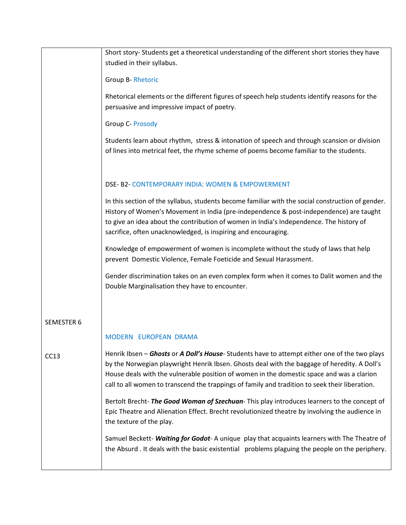|                   | Short story- Students get a theoretical understanding of the different short stories they have<br>studied in their syllabus.                                                                                                                                                                                                                                                                |
|-------------------|---------------------------------------------------------------------------------------------------------------------------------------------------------------------------------------------------------------------------------------------------------------------------------------------------------------------------------------------------------------------------------------------|
|                   | <b>Group B- Rhetoric</b>                                                                                                                                                                                                                                                                                                                                                                    |
|                   | Rhetorical elements or the different figures of speech help students identify reasons for the<br>persuasive and impressive impact of poetry.                                                                                                                                                                                                                                                |
|                   | <b>Group C- Prosody</b>                                                                                                                                                                                                                                                                                                                                                                     |
|                   | Students learn about rhythm, stress & intonation of speech and through scansion or division<br>of lines into metrical feet, the rhyme scheme of poems become familiar to the students.                                                                                                                                                                                                      |
|                   | DSE- B2- CONTEMPORARY INDIA: WOMEN & EMPOWERMENT                                                                                                                                                                                                                                                                                                                                            |
|                   | In this section of the syllabus, students become familiar with the social construction of gender.<br>History of Women's Movement in India (pre-independence & post-independence) are taught<br>to give an idea about the contribution of women in India's Independence. The history of<br>sacrifice, often unacknowledged, is inspiring and encouraging.                                    |
|                   | Knowledge of empowerment of women is incomplete without the study of laws that help<br>prevent Domestic Violence, Female Foeticide and Sexual Harassment.                                                                                                                                                                                                                                   |
|                   | Gender discrimination takes on an even complex form when it comes to Dalit women and the<br>Double Marginalisation they have to encounter.                                                                                                                                                                                                                                                  |
| <b>SEMESTER 6</b> |                                                                                                                                                                                                                                                                                                                                                                                             |
|                   | MODERN EUROPEAN DRAMA                                                                                                                                                                                                                                                                                                                                                                       |
| CC13              | Henrik Ibsen – Ghosts or A Doll's House-Students have to attempt either one of the two plays<br>by the Norwegian playwright Henrik Ibsen. Ghosts deal with the baggage of heredity. A Doll's<br>House deals with the vulnerable position of women in the domestic space and was a clarion<br>call to all women to transcend the trappings of family and tradition to seek their liberation. |
|                   | Bertolt Brecht-The Good Woman of Szechuan-This play introduces learners to the concept of<br>Epic Theatre and Alienation Effect. Brecht revolutionized theatre by involving the audience in<br>the texture of the play.                                                                                                                                                                     |
|                   | Samuel Beckett- Waiting for Godot-A unique play that acquaints learners with The Theatre of<br>the Absurd . It deals with the basic existential problems plaguing the people on the periphery.                                                                                                                                                                                              |
|                   |                                                                                                                                                                                                                                                                                                                                                                                             |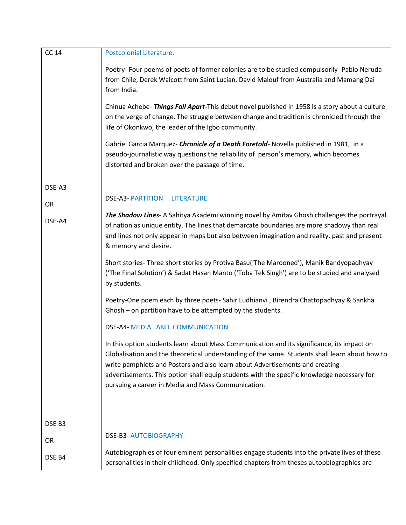| <b>CC 14</b> | Postcolonial Literature.                                                                                                                                                                                                                                                                                                                                                                                                         |
|--------------|----------------------------------------------------------------------------------------------------------------------------------------------------------------------------------------------------------------------------------------------------------------------------------------------------------------------------------------------------------------------------------------------------------------------------------|
|              | Poetry- Four poems of poets of former colonies are to be studied compulsorily- Pablo Neruda<br>from Chile, Derek Walcott from Saint Lucian, David Malouf from Australia and Mamang Dai<br>from India.                                                                                                                                                                                                                            |
|              | Chinua Achebe- Things Fall Apart-This debut novel published in 1958 is a story about a culture<br>on the verge of change. The struggle between change and tradition is chronicled through the<br>life of Okonkwo, the leader of the Igbo community.                                                                                                                                                                              |
|              | Gabriel Garcia Marquez- <i>Chronicle of a Death Foretold</i> - Novella published in 1981, in a<br>pseudo-journalistic way questions the reliability of person's memory, which becomes<br>distorted and broken over the passage of time.                                                                                                                                                                                          |
| DSE-A3       |                                                                                                                                                                                                                                                                                                                                                                                                                                  |
|              | <b>DSE-A3- PARTITION</b><br><b>LITERATURE</b>                                                                                                                                                                                                                                                                                                                                                                                    |
| OR<br>DSE-A4 | The Shadow Lines- A Sahitya Akademi winning novel by Amitav Ghosh challenges the portrayal<br>of nation as unique entity. The lines that demarcate boundaries are more shadowy than real<br>and lines not only appear in maps but also between imagination and reality, past and present<br>& memory and desire.                                                                                                                 |
|              | Short stories-Three short stories by Protiva Basu('The Marooned'), Manik Bandyopadhyay<br>('The Final Solution') & Sadat Hasan Manto ('Toba Tek Singh') are to be studied and analysed<br>by students.                                                                                                                                                                                                                           |
|              | Poetry-One poem each by three poets- Sahir Ludhianvi, Birendra Chattopadhyay & Sankha<br>Ghosh - on partition have to be attempted by the students.                                                                                                                                                                                                                                                                              |
|              | DSE-A4- MEDIA AND COMMUNICATION                                                                                                                                                                                                                                                                                                                                                                                                  |
|              | In this option students learn about Mass Communication and its significance, its impact on<br>Globalisation and the theoretical understanding of the same. Students shall learn about how to<br>write pamphlets and Posters and also learn about Advertisements and creating<br>advertisements. This option shall equip students with the specific knowledge necessary for<br>pursuing a career in Media and Mass Communication. |
|              |                                                                                                                                                                                                                                                                                                                                                                                                                                  |
| DSE B3       |                                                                                                                                                                                                                                                                                                                                                                                                                                  |
| <b>OR</b>    | <b>DSE-B3- AUTOBIOGRAPHY</b>                                                                                                                                                                                                                                                                                                                                                                                                     |
| DSE B4       | Autobiographies of four eminent personalities engage students into the private lives of these<br>personalities in their childhood. Only specified chapters from theses autopbiographies are                                                                                                                                                                                                                                      |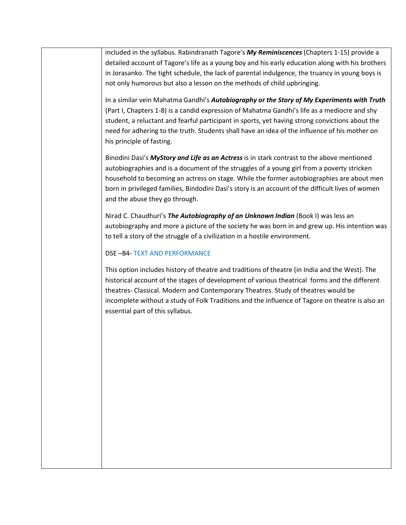included in the syllabus. Rabindranath Tagore's *My Reminiscences* (Chapters 1-15) provide a detailed account of Tagore's life as a young boy and his early education along with his brothers in Jorasanko. The tight schedule, the lack of parental indulgence, the truancy in young boys is not only humorous but also a lesson on the methods of child upbringing.

In a similar vein Mahatma Gandhi's *Autobiography or the Story of My Experiments with Truth* (Part I, Chapters 1-8) is a candid expression of Mahatma Gandhi's life as a mediocre and shy student, a reluctant and fearful participant in sports, yet having strong convictions about the need for adhering to the truth. Students shall have an idea of the influence of his mother on his principle of fasting.

Binodini Dasi's *MyStory and Life as an Actress* is in stark contrast to the above mentioned autobiographies and is a document of the struggles of a young girl from a poverty stricken household to becoming an actress on stage. While the former autobiographies are about men born in privileged families, Bindodini Dasi's story is an account of the difficult lives of women and the abuse they go through.

Nirad C. Chaudhuri's *The Autobiography of an Unknown Indian* (Book I) was less an autobiography and more a picture of the society he was born in and grew up. His intention was to tell a story of the struggle of a civilization in a hostile environment.

## DSE –B4- TEXT AND PERFORMANCE

This option includes history of theatre and traditions of theatre (in India and the West). The historical account of the stages of development of various theatrical forms and the different theatres- Classical. Modern and Contemporary Theatres. Study of theatres would be incomplete without a study of Folk Traditions and the influence of Tagore on theatre is also an essential part of this syllabus.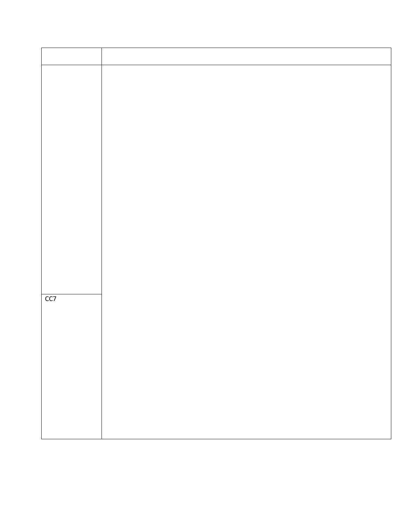| CC7 |  |
|-----|--|
|     |  |
|     |  |
|     |  |
|     |  |
|     |  |
|     |  |
|     |  |
|     |  |
|     |  |